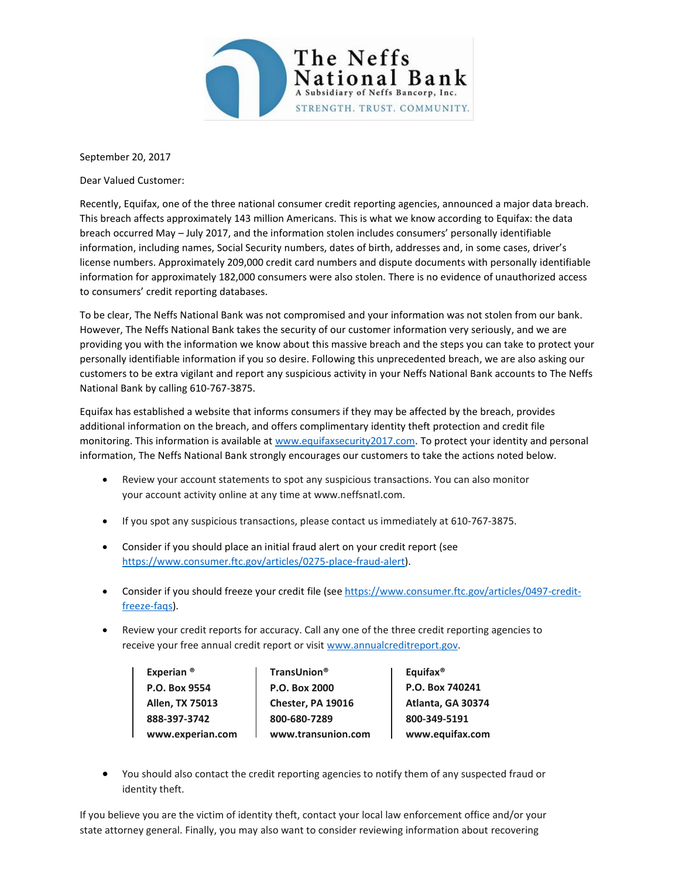

September 20, 2017

Dear Valued Customer:

Recently, Equifax, one of the three national consumer credit reporting agencies, announced a major data breach. This breach affects approximately 143 million Americans. This is what we know according to Equifax: the data breach occurred May – July 2017, and the information stolen includes consumers' personally identifiable information, including names, Social Security numbers, dates of birth, addresses and, in some cases, driver's license numbers. Approximately 209,000 credit card numbers and dispute documents with personally identifiable information for approximately 182,000 consumers were also stolen. There is no evidence of unauthorized access to consumers' credit reporting databases.

To be clear, The Neffs National Bank was not compromised and your information was not stolen from our bank. However, The Neffs National Bank takes the security of our customer information very seriously, and we are providing you with the information we know about this massive breach and the steps you can take to protect your personally identifiable information if you so desire. Following this unprecedented breach, we are also asking our customers to be extra vigilant and report any suspicious activity in your Neffs National Bank accounts to The Neffs National Bank by calling 610-767-3875.

Equifax has established a website that informs consumers if they may be affected by the breach, provides additional information on the breach, and offers complimentary identity theft protection and credit file monitoring. This information is available at [www.equifaxsecurity2017.com.](http://www.equifaxsecurity2017.com/) To protect your identity and personal information, The Neffs National Bank strongly encourages our customers to take the actions noted below.

- Review your account statements to spot any suspicious transactions. You can also monitor your account activity online at any time at www.neffsnatl.com.
- If you spot any suspicious transactions, please contact us immediately at 610-767-3875.
- Consider if you should place an initial fraud alert on your credit report (see [https://www.consumer.ftc.gov/articles/0275-place-fraud-alert\)](https://www.consumer.ftc.gov/articles/0275-place-fraud-alert).
- Consider if you should freeze your credit file (see [https://www.consumer.ftc.gov/articles/0497-credit](https://www.consumer.ftc.gov/articles/0497-credit-freeze-faqs)[freeze-faqs\)](https://www.consumer.ftc.gov/articles/0497-credit-freeze-faqs).
- Review your credit reports for accuracy. Call any one of the three credit reporting agencies to receive your free annual credit report or visit [www.annualcreditreport.gov.](http://www.annualcreditreport.gov/)

Experian ® TransUnion<sup>®</sup> | Equifax<sup>®</sup> **P.O. Box 9554 P.O. Box 2000 P.O. Box 740241 Allen, TX 75013 Chester, PA 19016 Atlanta, GA 30374 888-397-3742 800-680 -7289 800-349-5191 www.experian.com www.transunion.com www.equifax.com**

 You should also contact the credit reporting agencies to notify them of any suspected fraud or identity theft.

If you believe you are the victim of identity theft, contact your local law enforcement office and/or your state attorney general. Finally, you may also want to consider reviewing information about recovering